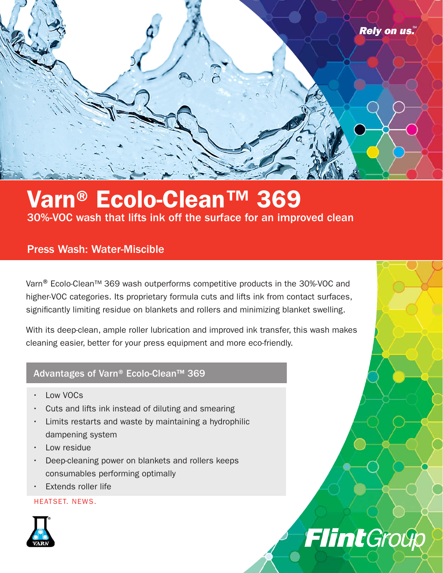

# Varn® Ecolo-Clean™ 369 30%-VOC wash that lifts ink off the surface for an improved clean

## Press Wash: Water-Miscible

Varn<sup>®</sup> Ecolo-Clean<sup>™</sup> 369 wash outperforms competitive products in the 30%-VOC and higher-VOC categories. Its proprietary formula cuts and lifts ink from contact surfaces, significantly limiting residue on blankets and rollers and minimizing blanket swelling.

With its deep-clean, ample roller lubrication and improved ink transfer, this wash makes cleaning easier, better for your press equipment and more eco-friendly.

**Flint**Group

### Advantages of Varn® Ecolo-Clean™ 369

- Low VOCs
- Cuts and lifts ink instead of diluting and smearing
- Limits restarts and waste by maintaining a hydrophilic dampening system
- Low residue
- Deep-cleaning power on blankets and rollers keeps consumables performing optimally
- Extends roller life

### HEATSET. NEWS.